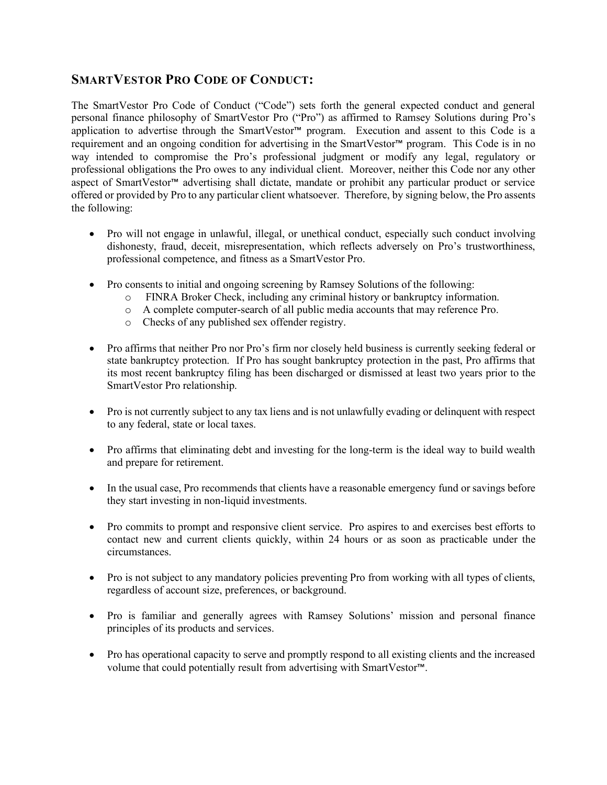## **SMARTVESTOR PRO CODE OF CONDUCT:**

The SmartVestor Pro Code of Conduct ("Code") sets forth the general expected conduct and general personal finance philosophy of SmartVestor Pro ("Pro") as affirmed to Ramsey Solutions during Pro's application to advertise through the SmartVestor™ program. Execution and assent to this Code is a requirement and an ongoing condition for advertising in the SmartVestor™ program. This Code is in no way intended to compromise the Pro's professional judgment or modify any legal, regulatory or professional obligations the Pro owes to any individual client. Moreover, neither this Code nor any other aspect of SmartVestor™ advertising shall dictate, mandate or prohibit any particular product or service offered or provided by Pro to any particular client whatsoever. Therefore, by signing below, the Pro assents the following:

- Pro will not engage in unlawful, illegal, or unethical conduct, especially such conduct involving dishonesty, fraud, deceit, misrepresentation, which reflects adversely on Pro's trustworthiness, professional competence, and fitness as a SmartVestor Pro.
- Pro consents to initial and ongoing screening by Ramsey Solutions of the following:
	- o FINRA Broker Check, including any criminal history or bankruptcy information.
	- o A complete computer-search of all public media accounts that may reference Pro.
	- o Checks of any published sex offender registry.
- Pro affirms that neither Pro nor Pro's firm nor closely held business is currently seeking federal or state bankruptcy protection. If Pro has sought bankruptcy protection in the past, Pro affirms that its most recent bankruptcy filing has been discharged or dismissed at least two years prior to the SmartVestor Pro relationship.
- Pro is not currently subject to any tax liens and is not unlawfully evading or delinquent with respect to any federal, state or local taxes.
- Pro affirms that eliminating debt and investing for the long-term is the ideal way to build wealth and prepare for retirement.
- In the usual case, Pro recommends that clients have a reasonable emergency fund or savings before they start investing in non-liquid investments.
- Pro commits to prompt and responsive client service. Pro aspires to and exercises best efforts to contact new and current clients quickly, within 24 hours or as soon as practicable under the circumstances.
- Pro is not subject to any mandatory policies preventing Pro from working with all types of clients, regardless of account size, preferences, or background.
- Pro is familiar and generally agrees with Ramsey Solutions' mission and personal finance principles of its products and services.
- Pro has operational capacity to serve and promptly respond to all existing clients and the increased volume that could potentially result from advertising with SmartVestor™.